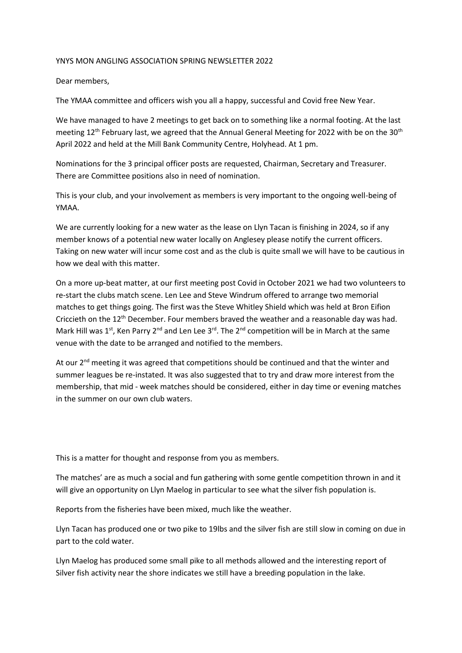## YNYS MON ANGLING ASSOCIATION SPRING NEWSLETTER 2022

Dear members,

The YMAA committee and officers wish you all a happy, successful and Covid free New Year.

We have managed to have 2 meetings to get back on to something like a normal footing. At the last meeting 12<sup>th</sup> February last, we agreed that the Annual General Meeting for 2022 with be on the 30<sup>th</sup> April 2022 and held at the Mill Bank Community Centre, Holyhead. At 1 pm.

Nominations for the 3 principal officer posts are requested, Chairman, Secretary and Treasurer. There are Committee positions also in need of nomination.

This is your club, and your involvement as members is very important to the ongoing well-being of YMAA.

We are currently looking for a new water as the lease on Llyn Tacan is finishing in 2024, so if any member knows of a potential new water locally on Anglesey please notify the current officers. Taking on new water will incur some cost and as the club is quite small we will have to be cautious in how we deal with this matter.

On a more up-beat matter, at our first meeting post Covid in October 2021 we had two volunteers to re-start the clubs match scene. Len Lee and Steve Windrum offered to arrange two memorial matches to get things going. The first was the Steve Whitley Shield which was held at Bron Eifion Criccieth on the 12<sup>th</sup> December. Four members brayed the weather and a reasonable day was had. Mark Hill was 1<sup>st</sup>, Ken Parry 2<sup>nd</sup> and Len Lee 3<sup>rd</sup>. The 2<sup>nd</sup> competition will be in March at the same venue with the date to be arranged and notified to the members.

At our  $2^{nd}$  meeting it was agreed that competitions should be continued and that the winter and summer leagues be re-instated. It was also suggested that to try and draw more interest from the membership, that mid - week matches should be considered, either in day time or evening matches in the summer on our own club waters.

This is a matter for thought and response from you as members.

The matches' are as much a social and fun gathering with some gentle competition thrown in and it will give an opportunity on Llyn Maelog in particular to see what the silver fish population is.

Reports from the fisheries have been mixed, much like the weather.

Llyn Tacan has produced one or two pike to 19lbs and the silver fish are still slow in coming on due in part to the cold water.

Llyn Maelog has produced some small pike to all methods allowed and the interesting report of Silver fish activity near the shore indicates we still have a breeding population in the lake.